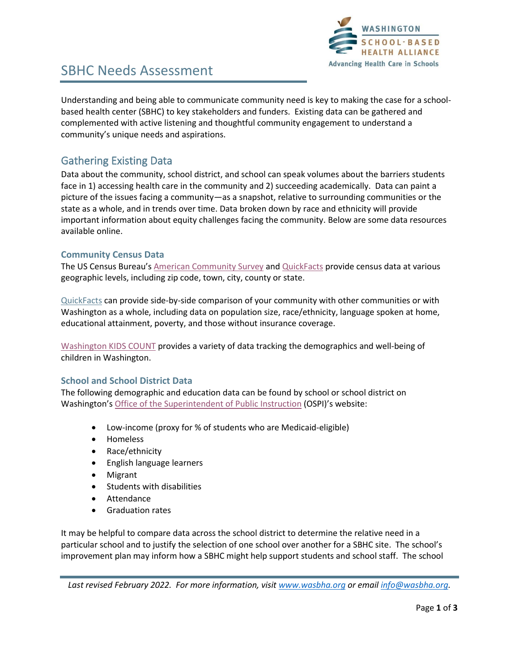

# SBHC Needs Assessment

Understanding and being able to communicate community need is key to making the case for a schoolbased health center (SBHC) to key stakeholders and funders. Existing data can be gathered and complemented with active listening and thoughtful community engagement to understand a community's unique needs and aspirations.

### Gathering Existing Data

Data about the community, school district, and school can speak volumes about the barriers students face in 1) accessing health care in the community and 2) succeeding academically. Data can paint a picture of the issues facing a community—as a snapshot, relative to surrounding communities or the state as a whole, and in trends over time. Data broken down by race and ethnicity will provide important information about equity challenges facing the community. Below are some data resources available online.

#### **Community Census Data**

The US Census Bureau's [American Community Survey](https://ofm.wa.gov/washington-data-research/population-demographics/american-community-survey) and [QuickFacts](https://www.census.gov/quickfacts/) provide census data at various geographic levels, including zip code, town, city, county or state.

[QuickFacts](https://www.census.gov/quickfacts/) can provide side-by-side comparison of your community with other communities or with Washington as a whole, including data on population size, race/ethnicity, language spoken at home, educational attainment, poverty, and those without insurance coverage.

[Washington KIDS COUNT](https://datacenter.kidscount.org/data#WA/) provides a variety of data tracking the demographics and well-being of children in Washington.

#### **School and School District Data**

The following demographic and education data can be found by school or school district on Washington's [Office of the Superintendent of Public Instruction](https://washingtonstatereportcard.ospi.k12.wa.us/) (OSPI)'s website:

- Low-income (proxy for % of students who are Medicaid-eligible)
- Homeless
- Race/ethnicity
- English language learners
- Migrant
- Students with disabilities
- Attendance
- Graduation rates

It may be helpful to compare data across the school district to determine the relative need in a particular school and to justify the selection of one school over another for a SBHC site. The school's improvement plan may inform how a SBHC might help support students and school staff. The school

*Last revised February 2022. For more information, visi[t www.wasbha.org](http://www.wasbha.org/) or email [info@wasbha.org.](mailto:info@wasbha.org)*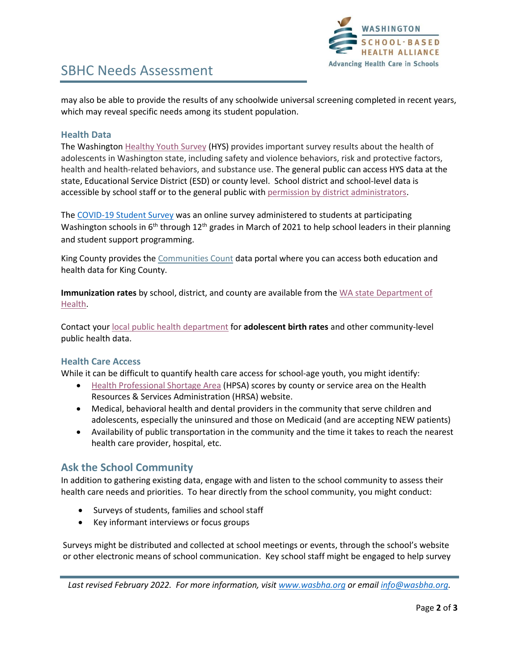

# SBHC Needs Assessment

may also be able to provide the results of any schoolwide universal screening completed in recent years, which may reveal specific needs among its student population.

### **Health Data**

The Washingto[n Healthy Youth Survey](http://www.askhys.net/) (HYS) provides important survey results about the health of adolescents in Washington state, including safety and violence behaviors, risk and protective factors, health and health-related behaviors, and substance use. The general public can access HYS data at the state, Educational Service District (ESD) or county level. School district and school-level data is accessible by school staff or to the general public with [permission by district administrators.](http://www.askhys.net/Home/GetAccess)

The [COVID-19 Student Survey](https://csswashington.org/) was an online survey administered to students at participating Washington schools in  $6<sup>th</sup>$  through 12<sup>th</sup> grades in March of 2021 to help school leaders in their planning and student support programming.

King County provides th[e Communities Count](https://www.communitiescount.org/) data portal where you can access both education and health data for King County.

**Immunization rates** by school, district, and county are available from the [WA state Department of](https://www.doh.wa.gov/DataandStatisticalReports/HealthBehaviors/Immunization/SchoolReports)  [Health.](https://www.doh.wa.gov/DataandStatisticalReports/HealthBehaviors/Immunization/SchoolReports)

Contact your [local public health department](https://www.doh.wa.gov/AboutUs/PublicHealthSystem/LocalHealthJurisdictions) for **adolescent birth rates** and other community-level public health data.

### **Health Care Access**

While it can be difficult to quantify health care access for school-age youth, you might identify:

- [Health Professional](https://data.hrsa.gov/tools/shortage-area/hpsa-find) Shortage Area (HPSA) scores by county or service area on the Health Resources & Services Administration (HRSA) website.
- Medical, behavioral health and dental providers in the community that serve children and adolescents, especially the uninsured and those on Medicaid (and are accepting NEW patients)
- Availability of public transportation in the community and the time it takes to reach the nearest health care provider, hospital, etc.

### **Ask the School Community**

In addition to gathering existing data, engage with and listen to the school community to assess their health care needs and priorities. To hear directly from the school community, you might conduct:

- Surveys of students, families and school staff
- Key informant interviews or focus groups

Surveys might be distributed and collected at school meetings or events, through the school's website or other electronic means of school communication. Key school staff might be engaged to help survey

*Last revised February 2022. For more information, visi[t www.wasbha.org](http://www.wasbha.org/) or email [info@wasbha.org.](mailto:info@wasbha.org)*